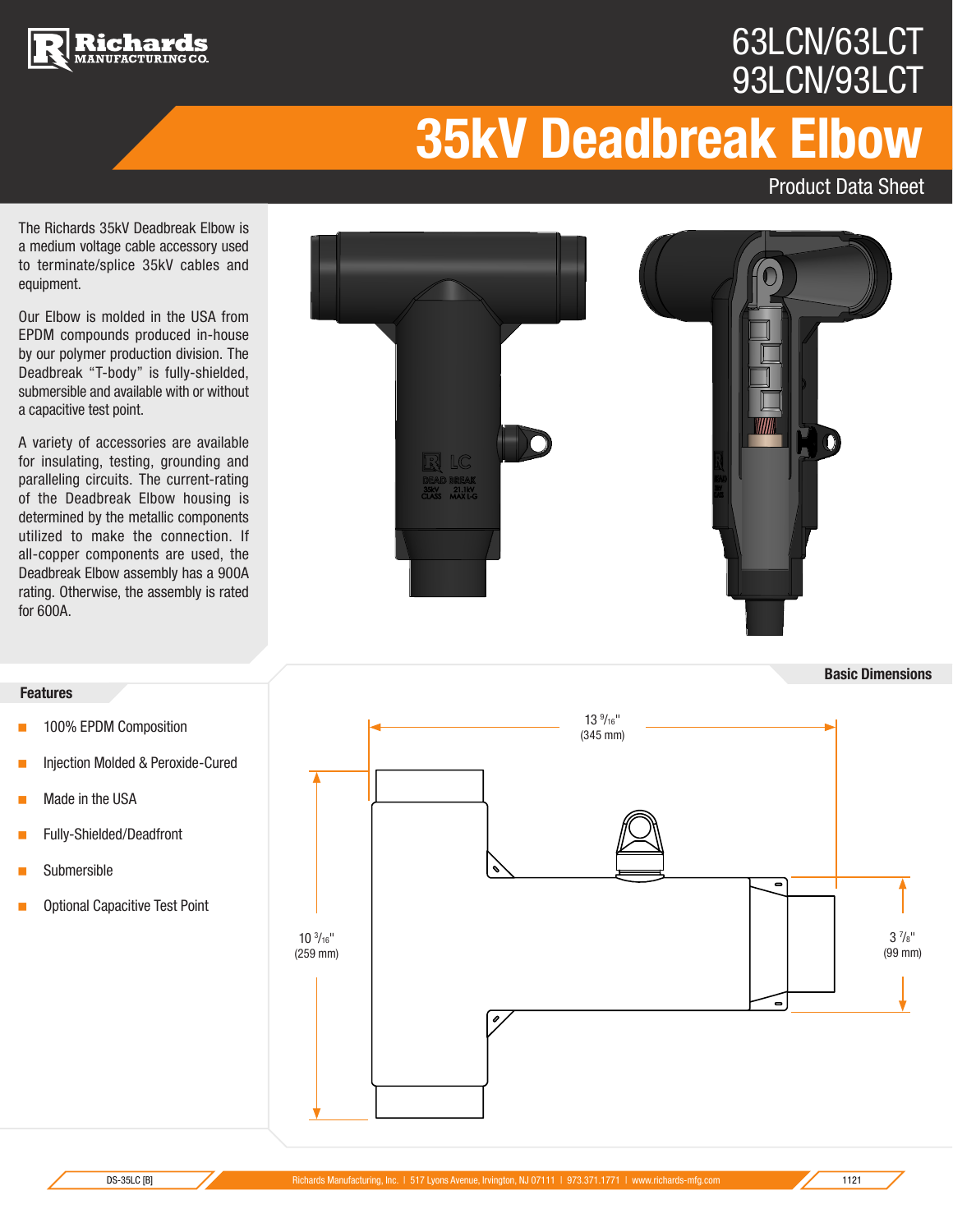



Product Data Sheet

**Basic Dimensions**

The Richards 35kV Deadbreak Elbow is a medium voltage cable accessory used to terminate/splice 35kV cables and equipment.

chards

Our Elbow is molded in the USA from EPDM compounds produced in-house by our polymer production division. The Deadbreak "T-body" is fully-shielded, submersible and available with or without a capacitive test point.

A variety of accessories are available for insulating, testing, grounding and paralleling circuits. The current-rating of the Deadbreak Elbow housing is determined by the metallic components utilized to make the connection. If all-copper components are used, the Deadbreak Elbow assembly has a 900A for 600A.



## **Features**

- < 100% EPDM Composition
- < Injection Molded & Peroxide-Cured
- **Nade in the USA**
- **Fully-Shielded/Deadfront**
- **Submersible**
- < Optional Capacitive Test Point

 3 7  $3\frac{7}{8}$ " (99 mm)  $13\frac{9}{16}$ " (345 mm)  $10 \frac{3}{16}$ " (259 mm) B B